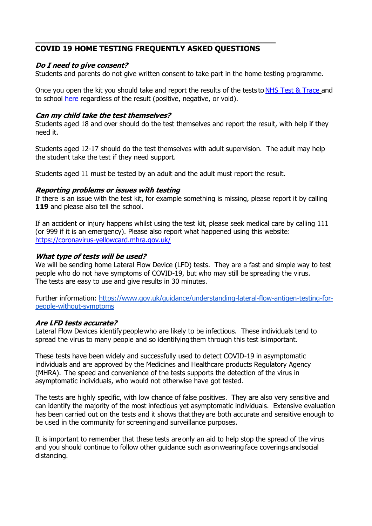# **COVID 19 HOME TESTING FREQUENTLY ASKED QUESTIONS**

**\_\_\_\_\_\_\_\_\_\_\_\_\_\_\_\_\_\_\_\_\_\_\_\_\_\_\_\_\_\_\_\_\_\_\_\_\_\_\_\_\_\_\_\_\_\_\_\_\_\_\_\_\_\_\_**

#### **Do I need to give consent?**

Students and parents do not give written consent to take part in the home testing programme.

Once you open the kit you should take and report the results of the tests to [NHS Test & Trace](https://www.gov.uk/report-covid19-result) and to school [here](https://forms.office.com/Pages/ResponsePage.aspx?id=DPahrxLBiUe50sRrwmHy3oygVwaJ6m9BiKT-rDihrApUQk5KS04xM0RaRVE4TldDOUk5TjcwMTc1Ti4u) regardless of the result (positive, negative, or void).

#### **Can my child take the test themselves?**

Students aged 18 and over should do the test themselves and report the result, with help if they need it.

Students aged 12-17 should do the test themselves with adult supervision. The adult may help the student take the test if they need support.

Students aged 11 must be tested by an adult and the adult must report the result.

#### **Reporting problems or issues with testing**

If there is an issue with the test kit, for example something is missing, please report it by calling **119** and please also tell the school.

If an accident or injury happens whilst using the test kit, please seek medical care by calling 111 (or 999 if it is an emergency). Please also report what happened using this website: <https://coronavirus-yellowcard.mhra.gov.uk/>

#### **What type of tests will be used?**

We will be sending home Lateral Flow Device (LFD) tests. They are a fast and simple way to test people who do not have symptoms of COVID-19, but who may still be spreading the virus. The tests are easy to use and give results in 30 minutes.

Further information: [https://www.gov.uk/guidance/understanding-lateral-flow-antigen-testing-for](https://www.gov.uk/guidance/understanding-lateral-flow-antigen-testing-for-people-without-symptoms)[people-without-symptoms](https://www.gov.uk/guidance/understanding-lateral-flow-antigen-testing-for-people-without-symptoms)

#### **Are LFD tests accurate?**

Lateral Flow Devices identify people who are likely to be infectious. These individuals tend to spread the virus to many people and so identifying them through this test is important. 

These tests have been widely and successfully used to detect COVID-19 in asymptomatic individuals and are approved by the Medicines and Healthcare products Regulatory Agency (MHRA).  The speed and convenience of the tests supports the detection of the virus in asymptomatic individuals, who would not otherwise have got tested.

The tests are highly specific, with low chance of false positives. They are also very sensitive and can identify the majority of the most infectious yet asymptomatic individuals. Extensive evaluation has been carried out on the tests and it shows that they are both accurate and sensitive enough to be used in the community for screening and surveillance purposes. 

It is important to remember that these tests are only an aid to help stop the spread of the virus and you should continue to follow other guidance such as on wearing face coverings and social distancing.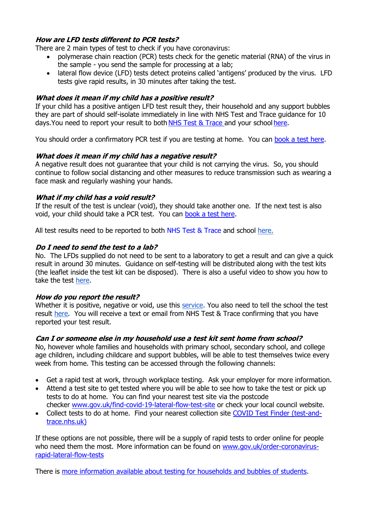# **How are LFD tests different to PCR tests?**

There are 2 main types of test to check if you have coronavirus:

- polymerase chain reaction (PCR) tests check for the genetic material (RNA) of the virus in the sample - you send the sample for processing at a lab;
- lateral flow device (LFD) tests detect proteins called 'antigens' produced by the virus. LFD tests give rapid results, in 30 minutes after taking the test.

### **What does it mean if my child has a positive result?**

If your child has a positive antigen LFD test result they, their household and any support bubbles they are part of should self-isolate immediately in line with [NHS Test and Trace guidance](https://www.gov.uk/government/publications/covid-19-stay-at-home-guidance%22%20/t%20%22_blank) for 10 days.You need to report your result to both [NHS Test & Trace](https://www.gov.uk/report-covid19-result) and your school [here.](https://forms.office.com/Pages/ResponsePage.aspx?id=DPahrxLBiUe50sRrwmHy3oygVwaJ6m9BiKT-rDihrApUQk5KS04xM0RaRVE4TldDOUk5TjcwMTc1Ti4u)

You should order a confirmatory PCR test if you are testing at home. You can [book a test](https://www.gov.uk/get-coronavirus-test) here.

# **What does it mean if my child has a negative result?**

A negative result does not guarantee that your child is not carrying the virus. So, you should continue to follow social distancing and other measures to reduce transmission such as wearing a face mask and regularly washing your hands.

#### **What if my child has a void result?**

If the result of the test is unclear (void), they should take another one. If the next test is also void, your child should take a PCR test. You can [book a test here.](https://www.gov.uk/get-coronavirus-test)

All test results need to be reported to both [NHS Test & Trace](https://www.gov.uk/report-covid19-result) and school [here.](https://www.youtube.com/watch?v=S9XR8RZxKNo&list=PLvaBZskxS7tzQYlVg7lwH5uxAD9UrSzGJ&index=1)

# **Do I need to send the test to a lab?**

No. The LFDs supplied do not need to be sent to a laboratory to get a result and can give a quick result in around 30 minutes. Guidance on self-testing will be distributed along with the test kits (the leaflet inside the test kit can be disposed). There is also a useful video to show you how to take the test [here.](https://www.youtube.com/watch?v=S9XR8RZxKNo&list=PLvaBZskxS7tzQYlVg7lwH5uxAD9UrSzGJ&index=1)

#### **How do you report the result?**

Whether it is positive, negative or void, use this [service.](https://www.gov.uk/report-covid19-result) You also need to tell the school the test result [here.](https://www.youtube.com/watch?v=S9XR8RZxKNo&list=PLvaBZskxS7tzQYlVg7lwH5uxAD9UrSzGJ&index=1) You will receive a text or email from NHS Test & Trace confirming that you have reported your test result.

# **Can I or someone else in my household use a test kit sent home from school?**

No, however whole families and households with primary school, secondary school, and college age children, including childcare and support bubbles, will be able to test themselves twice every week from home. This testing can be accessed through the following channels:

- Get a rapid test at work, through workplace testing. Ask your employer for more information.
- Attend a test site to get tested where you will be able to see how to take the test or pick up tests to do at home. You can find your nearest test site via the postcode checker [www.gov.uk/find-covid-19-lateral-flow-test-site](http://www.gov.uk/find-covid-19-lateral-flow-test-site) or check your local council website.
- Collect tests to do at home. Find your nearest collection site [COVID Test Finder \(test-and](https://find-covid-19-rapid-test-sites.maps.test-and-trace.nhs.uk/)[trace.nhs.uk\)](https://find-covid-19-rapid-test-sites.maps.test-and-trace.nhs.uk/)

If these options are not possible, there will be a supply of rapid tests to order online for people who need them the most. More information can be found on [www.gov.uk/order-coronavirus](http://www.gov.uk/order-coronavirus-rapid-lateral-flow-tests)[rapid-lateral-flow-tests](http://www.gov.uk/order-coronavirus-rapid-lateral-flow-tests)

There is [more information available about testing for households and bubbles of students.](https://www.gov.uk/guidance/rapid-lateral-flow-testing-for-households-and-bubbles-of-school-pupils-and-staff)